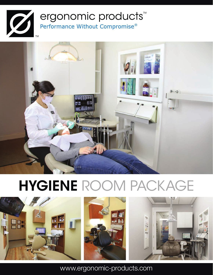

ergonomic products<sup>™</sup>

Performance Without Compromise®



# HYGIENE ROOM PACKAGE



www.ergonomic-products.com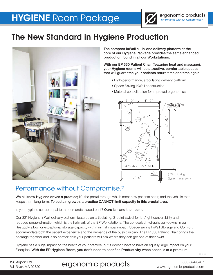# HYGIENE Room Package



# The New Standard in Hygiene Production



The compact InWall all-in-one delivery platform at the core of our Hygiene Package provides the same enhanced production found in all our Workstations.

With our EP 330 Patient Chair (featuring heat and massage), your Hygiene rooms will be attractive, comfortable spaces that will guarantee your patients return time and time again.

- High-performance, articulating delivery platform
- Space Saving InWall construction
- Material consolidation for improved ergonomics



### Performance without Compromise.®

We all know Hygiene drives a practice; it's the portal through which most new patients enter, and the vehicle that keeps them long-term. To sustain growth, a practice CANNOT limit capacity in this crucial area.

Is your hygiene set-up equal to the demands placed on it? Ours is - and then some!

Our 32" Hygiene InWall delivery platform features an articulating, 3-point swivel for left/right convertibility and reduced range-of-motion which is the hallmark of the EP Workstations. The concealed hydraulic pull-downs in our Resupply allow for exceptional storage capacity with minimal visual impact. Space-saving InWall Storage and Comfort accommodate both the patient experience and the demands of the busy clinician. The EP 330 Patient Chair brings the package together and is so comfortable your patients will ask where they can get one of their own!

Hygiene has a huge impact on the health of your practice; but it doesn't have to have an equally large impact on your Floorplan. With the EP Hygiene Room, you don't need to sacrifice Productivity when space is at a premium.

22\_01\_20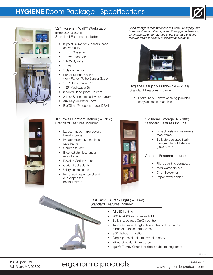### **HYGIENE** Room Package - Specifications





#### 32" Hygiene InWall™ Workstation (items D2A1 & D2A4) Standard Features Include:

- 3-point Swivel for 2-hand/4-hand convertibility
- 1 High Speed Air
- 1 Low Speed Air
- 1 A/W Syringe
- 1 HVE
- 1 Saliva Ejector
- Parkell Manual Scaler - or - Parkell Turbo Sensor Scaler
- 1 EP Consumable Bin
- 1 EP Med-waste Bin
- 8 Milled Hand-piece Holders
- 2-Liter Self-contained water supply
- Auxiliary Air/Water Ports
- Bib/Glove/Product storage (D2A4)

#### 16" InWall Comfort Station (item N1A1) Standard Features Include:

- Large, hinged mirror covers InWall storage
- Impact resistant, seamless face-frame
- Chrome faucet
- Brushed stainless undermount sink
- Beveled Corian counter
- Corian backsplash
- Utility access panel
- Recessed paper towel and cup dispenser behind mirror

*Open storage is recommended in Central Resupply, but is less desired in patient spaces. The Hygiene Resupply eliminates the under-storage of our standard unit and features doors for a patient-friendly appearance.*



Hygiene Resupply Pulldown (item C1A2) Standard Features Include:

• Hydraulic pull-down shelving provides easy access to materials.

#### 16" InWall Storage (item N1B1) Standard Features Include:

- Impact resistant, seamless face-frame
- Bulk storage specifically designed to hold standard glove boxes

#### Optional Features Include:

- Flip-up writing surface, or
- Med-waste flip-out
- Chart holder, or
- Paper-towel holder

#### FastTrack LS Track Light (item L2A1) Standard Features Include:

- All LED lighting
- 7000-32000 lux intra-oral light
- Built-in touchless On/Off control
- Tune-able wave-length allows intra-oral use with a range of curable composites
- 360° light-arm rotation
- Single-piece aluminum extrusion body
- Milled billet aluminum trolley
- Igus® Energy Chain for reliable cable management

## ergonomic products

22\_01\_20